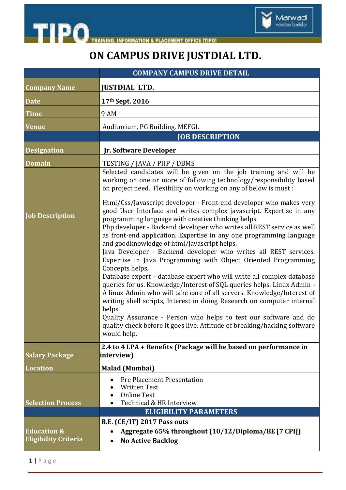



Marwadi<br>education foundation

| <b>COMPANY CAMPUS DRIVE DETAIL</b>                    |                                                                                                                                                                                                                                                                                                                                                                                                                                                                                                                                                                                                                                                                                                                                                                                                                                                                                                                                                                                                                                         |
|-------------------------------------------------------|-----------------------------------------------------------------------------------------------------------------------------------------------------------------------------------------------------------------------------------------------------------------------------------------------------------------------------------------------------------------------------------------------------------------------------------------------------------------------------------------------------------------------------------------------------------------------------------------------------------------------------------------------------------------------------------------------------------------------------------------------------------------------------------------------------------------------------------------------------------------------------------------------------------------------------------------------------------------------------------------------------------------------------------------|
| <b>Company Name</b>                                   | <b>JUSTDIAL LTD.</b>                                                                                                                                                                                                                                                                                                                                                                                                                                                                                                                                                                                                                                                                                                                                                                                                                                                                                                                                                                                                                    |
| <b>Date</b>                                           | 17th Sept. 2016                                                                                                                                                                                                                                                                                                                                                                                                                                                                                                                                                                                                                                                                                                                                                                                                                                                                                                                                                                                                                         |
| <b>Time</b>                                           | 9 AM                                                                                                                                                                                                                                                                                                                                                                                                                                                                                                                                                                                                                                                                                                                                                                                                                                                                                                                                                                                                                                    |
| <b>Venue</b>                                          | Auditorium, PG Building, MEFGI.                                                                                                                                                                                                                                                                                                                                                                                                                                                                                                                                                                                                                                                                                                                                                                                                                                                                                                                                                                                                         |
|                                                       | <b>JOB DESCRIPTION</b>                                                                                                                                                                                                                                                                                                                                                                                                                                                                                                                                                                                                                                                                                                                                                                                                                                                                                                                                                                                                                  |
| <b>Designation</b>                                    | Jr. Software Developer                                                                                                                                                                                                                                                                                                                                                                                                                                                                                                                                                                                                                                                                                                                                                                                                                                                                                                                                                                                                                  |
| <b>Domain</b>                                         | TESTING / JAVA / PHP / DBMS                                                                                                                                                                                                                                                                                                                                                                                                                                                                                                                                                                                                                                                                                                                                                                                                                                                                                                                                                                                                             |
|                                                       | Selected candidates will be given on the job training and will be<br>working on one or more of following technology/responsibility based<br>on project need. Flexibility on working on any of below is must:                                                                                                                                                                                                                                                                                                                                                                                                                                                                                                                                                                                                                                                                                                                                                                                                                            |
| <b>Job Description</b>                                | Html/Css/Javascript developer - Front-end developer who makes very<br>good User Interface and writes complex javascript. Expertise in any<br>programming language with creative thinking helps.<br>Php developer - Backend developer who writes all REST service as well<br>as front-end application. Expertise in any one programming language<br>and goodknowledge of html/javascript helps.<br>Java Developer - Backend developer who writes all REST services.<br>Expertise in Java Programming with Object Oriented Programming<br>Concepts helps.<br>Database expert - database expert who will write all complex database<br>queries for us. Knowledge/Interest of SQL queries helps. Linux Admin -<br>A linux Admin who will take care of all servers. Knowledge/Interest of<br>writing shell scripts, Interest in doing Research on computer internal<br>helps.<br>Quality Assurance - Person who helps to test our software and do<br>quality check before it goes live. Attitude of breaking/hacking software<br>would help. |
| <b>Salary Package</b>                                 | 2.4 to 4 LPA + Benefits (Package will be based on performance in<br>interview)                                                                                                                                                                                                                                                                                                                                                                                                                                                                                                                                                                                                                                                                                                                                                                                                                                                                                                                                                          |
| <b>Location</b>                                       | <b>Malad (Mumbai)</b>                                                                                                                                                                                                                                                                                                                                                                                                                                                                                                                                                                                                                                                                                                                                                                                                                                                                                                                                                                                                                   |
| <b>Selection Process</b>                              | <b>Pre Placement Presentation</b><br><b>Written Test</b><br><b>Online Test</b><br>Technical & HR Interview<br><b>ELIGIBILITY PARAMETERS</b>                                                                                                                                                                                                                                                                                                                                                                                                                                                                                                                                                                                                                                                                                                                                                                                                                                                                                             |
| <b>B.E. (CE/IT) 2017 Pass outs</b>                    |                                                                                                                                                                                                                                                                                                                                                                                                                                                                                                                                                                                                                                                                                                                                                                                                                                                                                                                                                                                                                                         |
| <b>Education &amp;</b><br><b>Eligibility Criteria</b> | Aggregate 65% throughout (10/12/Diploma/BE [7 CPI])<br><b>No Active Backlog</b>                                                                                                                                                                                                                                                                                                                                                                                                                                                                                                                                                                                                                                                                                                                                                                                                                                                                                                                                                         |